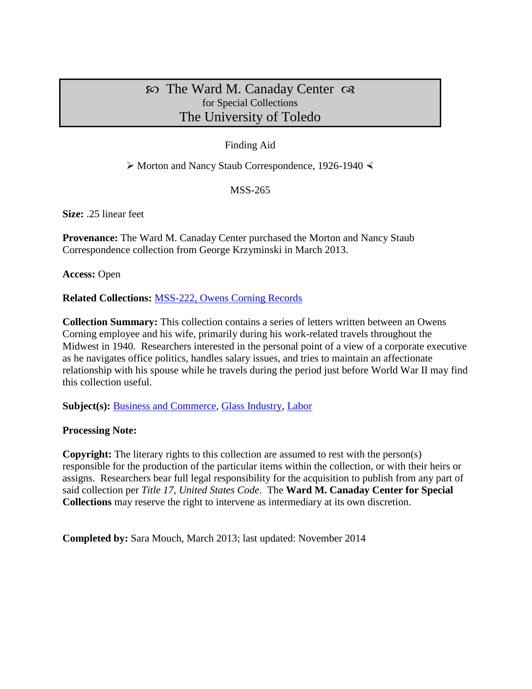# $\infty$  The Ward M. Canaday Center  $\infty$ for Special Collections The University of Toledo

## Finding Aid

 $\triangleright$  Morton and Nancy Staub Correspondence, 1926-1940  $\triangleleft$ 

#### MSS-265

**Size:** .25 linear feet

**Provenance:** The Ward M. Canaday Center purchased the Morton and Nancy Staub Correspondence collection from George Krzyminski in March 2013.

**Access:** Open

**Related Collections:** [MSS-222, Owens Corning Records](http://www.utoledo.edu/library/canaday/findingaids1/MSS-222.pdf)

**Collection Summary:** This collection contains a series of letters written between an Owens Corning employee and his wife, primarily during his work-related travels throughout the Midwest in 1940. Researchers interested in the personal point of a view of a corporate executive as he navigates office politics, handles salary issues, and tries to maintain an affectionate relationship with his spouse while he travels during the period just before World War II may find this collection useful.

Subject(s): **Business and Commerce**, [Glass Industry,](http://www.utoledo.edu/library/canaday/guidepages/glass.html) [Labor](http://www.utoledo.edu/library/canaday/guidepages/labor.html)

## **Processing Note:**

**Copyright:** The literary rights to this collection are assumed to rest with the person(s) responsible for the production of the particular items within the collection, or with their heirs or assigns. Researchers bear full legal responsibility for the acquisition to publish from any part of said collection per *Title 17, United States Code*. The **Ward M. Canaday Center for Special Collections** may reserve the right to intervene as intermediary at its own discretion.

**Completed by:** Sara Mouch, March 2013; last updated: November 2014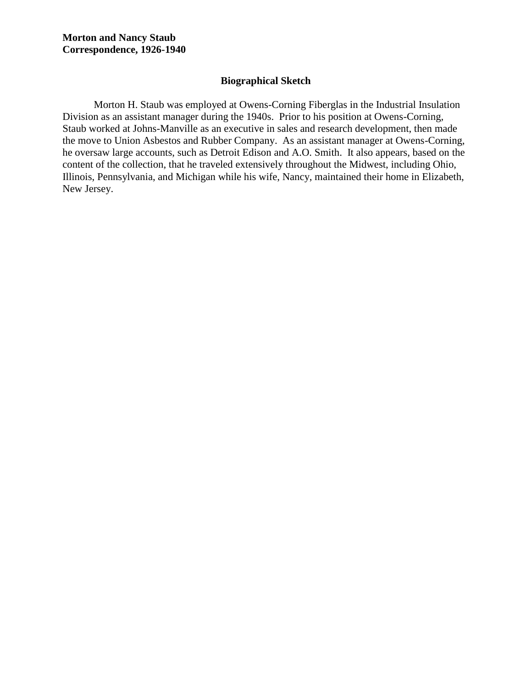#### **Biographical Sketch**

Morton H. Staub was employed at Owens-Corning Fiberglas in the Industrial Insulation Division as an assistant manager during the 1940s. Prior to his position at Owens-Corning, Staub worked at Johns-Manville as an executive in sales and research development, then made the move to Union Asbestos and Rubber Company. As an assistant manager at Owens-Corning, he oversaw large accounts, such as Detroit Edison and A.O. Smith. It also appears, based on the content of the collection, that he traveled extensively throughout the Midwest, including Ohio, Illinois, Pennsylvania, and Michigan while his wife, Nancy, maintained their home in Elizabeth, New Jersey.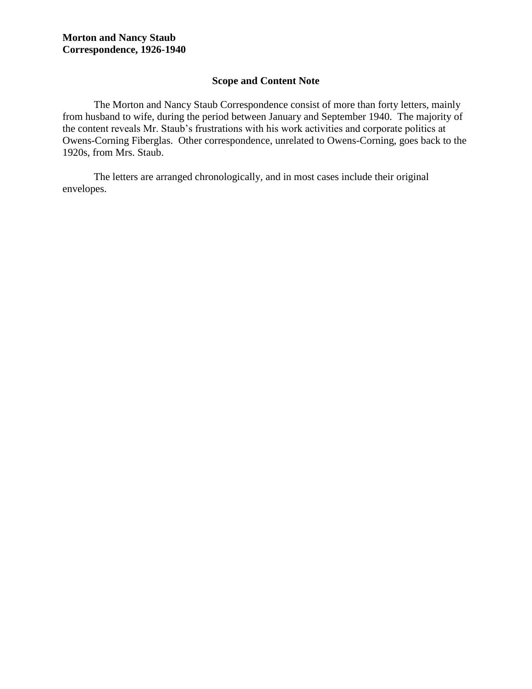## **Scope and Content Note**

The Morton and Nancy Staub Correspondence consist of more than forty letters, mainly from husband to wife, during the period between January and September 1940. The majority of the content reveals Mr. Staub's frustrations with his work activities and corporate politics at Owens-Corning Fiberglas. Other correspondence, unrelated to Owens-Corning, goes back to the 1920s, from Mrs. Staub.

The letters are arranged chronologically, and in most cases include their original envelopes.